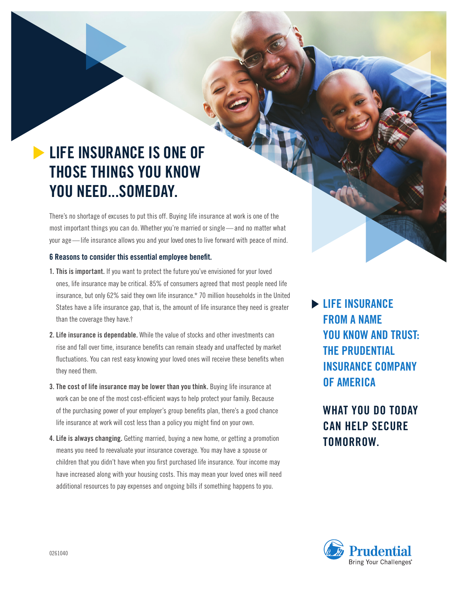## **LIFE INSURANCE IS ONE OF THOSE THINGS YOU KNOW YOU NEED...SOMEDAY.**

There's no shortage of excuses to put this off. Buying life insurance at work is one of the most important things you can do. Whether you're married or single—and no matter what your age—life insurance allows you and your loved ones to live forward with peace of mind.

## **6 Reasons to consider this essential employee benefit.**

- **1. This is important.** If you want to protect the future you've envisioned for your loved ones, life insurance may be critical. 85% of consumers agreed that most people need life insurance, but only 62% said they own life insurance.\* 70 million households in the United States have a life insurance gap, that is, the amount of life insurance they need is greater than the coverage they have.†
- **2. Life insurance is dependable.** While the value of stocks and other investments can rise and fall over time, insurance benefits can remain steady and unaffected by market fluctuations. You can rest easy knowing your loved ones will receive these benefits when they need them.
- **3. The cost of life insurance may be lower than you think.** Buying life insurance at work can be one of the most cost-efficient ways to help protect your family. Because of the purchasing power of your employer's group benefits plan, there's a good chance life insurance at work will cost less than a policy you might find on your own.
- **4. Life is always changing.** Getting married, buying a new home, or getting a promotion means you need to reevaluate your insurance coverage. You may have a spouse or children that you didn't have when you first purchased life insurance. Your income may have increased along with your housing costs. This may mean your loved ones will need additional resources to pay expenses and ongoing bills if something happens to you.

**LIFE INSURANCE FROM A NAME YOU KNOW AND TRUST: THE PRUDENTIAL INSURANCE COMPANY OF AMERICA**

## **WHAT YOU DO TODAY CAN HELP SECURE TOMORROW.**